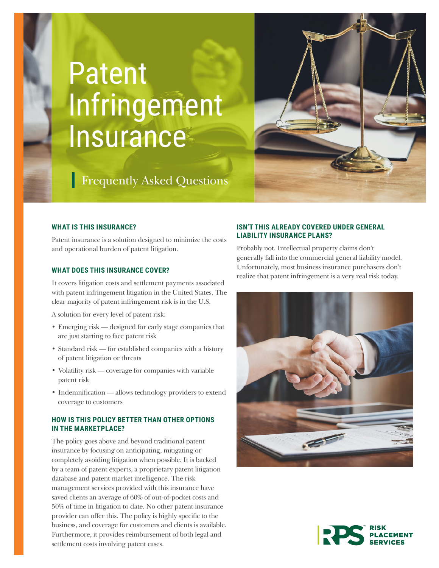# Patent Infringement Insurance



# **Frequently Asked Questions**

### **WHAT IS THIS INSURANCE?**

Patent insurance is a solution designed to minimize the costs and operational burden of patent litigation.

#### **WHAT DOES THIS INSURANCE COVER?**

It covers litigation costs and settlement payments associated with patent infringement litigation in the United States. The clear majority of patent infringement risk is in the U.S.

A solution for every level of patent risk:

- Emerging risk designed for early stage companies that are just starting to face patent risk
- Standard risk for established companies with a history of patent litigation or threats
- Volatility risk coverage for companies with variable patent risk
- Indemnification allows technology providers to extend coverage to customers

# **HOW IS THIS POLICY BETTER THAN OTHER OPTIONS IN THE MARKETPLACE?**

The policy goes above and beyond traditional patent insurance by focusing on anticipating, mitigating or completely avoiding litigation when possible. It is backed by a team of patent experts, a proprietary patent litigation database and patent market intelligence. The risk management services provided with this insurance have saved clients an average of 60% of out-of-pocket costs and 50% of time in litigation to date. No other patent insurance provider can offer this. The policy is highly specific to the business, and coverage for customers and clients is available. Furthermore, it provides reimbursement of both legal and settlement costs involving patent cases.

# **ISN'T THIS ALREADY COVERED UNDER GENERAL LIABILITY INSURANCE PLANS?**

Probably not. Intellectual property claims don't generally fall into the commercial general liability model. Unfortunately, most business insurance purchasers don't realize that patent infringement is a very real risk today.